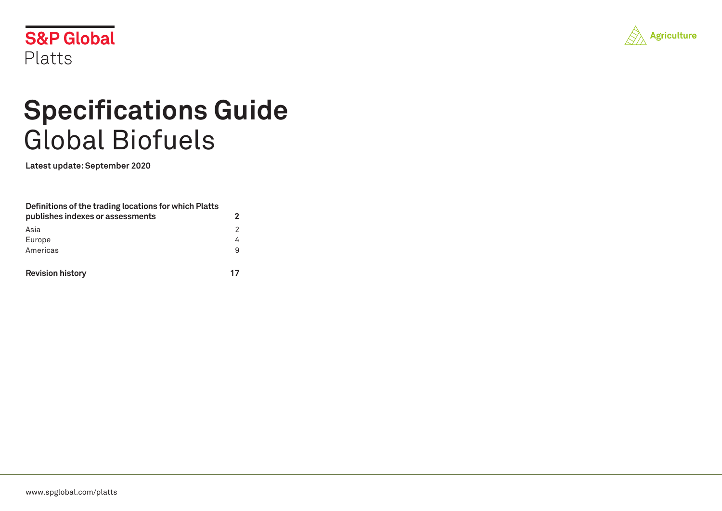



# **Specifications Guide** Global Biofuels

**Latest update: September 2020**

| Definitions of the trading locations for which Platts |                |
|-------------------------------------------------------|----------------|
| publishes indexes or assessments                      | 2              |
| Asia                                                  | $\mathfrak{p}$ |
| Europe                                                | 4              |
| Americas                                              | 9              |
| <b>Revision history</b>                               | 17             |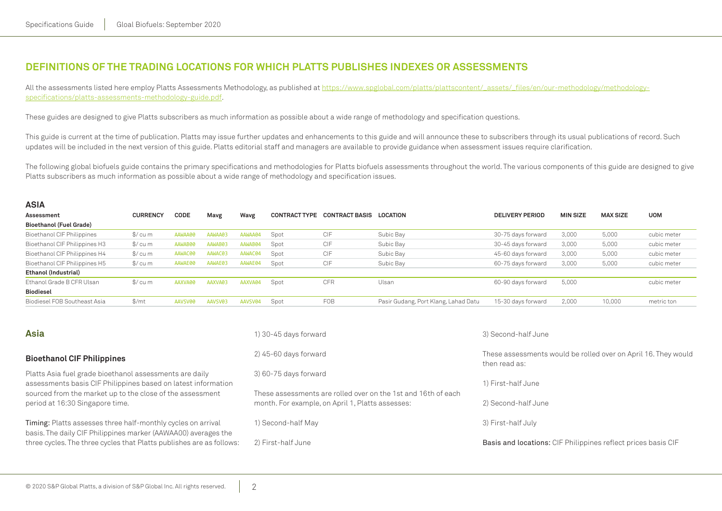# <span id="page-1-0"></span>**Definitions of the trading locations for which Platts publishes indexes or assessments**

All the assessments listed here employ Platts Assessments Methodology, as published at [https://www.spglobal.com/platts/plattscontent/\\_assets/\\_files/en/our-methodology/methodology](https://www.spglobal.com/platts/plattscontent/_assets/_files/en/our-methodology/methodology-specifications/platts-assessments-methodology-guide.pdf)[specifications/platts-assessments-methodology-guide.pdf.](https://www.spglobal.com/platts/plattscontent/_assets/_files/en/our-methodology/methodology-specifications/platts-assessments-methodology-guide.pdf)

These guides are designed to give Platts subscribers as much information as possible about a wide range of methodology and specification questions.

This guide is current at the time of publication. Platts may issue further updates and enhancements to this guide and will announce these to subscribers through its usual publications of record. Such updates will be included in the next version of this guide. Platts editorial staff and managers are available to provide guidance when assessment issues require clarification.

The following global biofuels guide contains the primary specifications and methodologies for Platts biofuels assessments throughout the world. The various components of this guide are designed to give Platts subscribers as much information as possible about a wide range of methodology and specification issues.

| <b>ASIA</b>                    |                   |         |         |         |                      |                       |                                      |                        |                 |                 |             |
|--------------------------------|-------------------|---------|---------|---------|----------------------|-----------------------|--------------------------------------|------------------------|-----------------|-----------------|-------------|
| Assessment                     | <b>CURRENCY</b>   | CODE    | Mavg    | Wavg    | <b>CONTRACT TYPE</b> | <b>CONTRACT BASIS</b> | LOCATION                             | <b>DELIVERY PERIOD</b> | <b>MIN SIZE</b> | <b>MAX SIZE</b> | <b>UOM</b>  |
| <b>Bioethanol (Fuel Grade)</b> |                   |         |         |         |                      |                       |                                      |                        |                 |                 |             |
| Bioethanol CIF Philippines     | $\frac{1}{2}$ cum | AAWAA00 | AAWAA03 | AAWAA04 | Spot                 | CIF                   | Subic Bay                            | 30-75 days forward     | 3,000           | 5,000           | cubic meter |
| Bioethanol CIF Philippines H3  | \$/ cu m          | AAWAB00 | AAWAB03 | AAWAB04 | Spot                 | CIF                   | Subic Bay                            | 30-45 days forward     | 3,000           | 5,000           | cubic meter |
| Bioethanol CIF Philippines H4  | $\frac{1}{2}$ cum | AAWAC00 | AAWAC03 | AAWAC04 | Spot                 | CIF                   | Subic Bay                            | 45-60 days forward     | 3,000           | 5,000           | cubic meter |
| Bioethanol CIF Philippines H5  | \$/ cu m          | AAWAE00 | AAWAE03 | AAWAE04 | Spot                 | CIF                   | Subic Bay                            | 60-75 days forward     | 3,000           | 5,000           | cubic meter |
| Ethanol (Industrial)           |                   |         |         |         |                      |                       |                                      |                        |                 |                 |             |
| Ethanol Grade B CFR Ulsan      | $\frac{1}{2}$ cum | AAXVA00 | AAXVA03 | AAXVA04 | Spot                 | <b>CFR</b>            | Ulsan                                | 60-90 days forward     | 5,000           |                 | cubic meter |
| <b>Biodiesel</b>               |                   |         |         |         |                      |                       |                                      |                        |                 |                 |             |
| Biodiesel FOB Southeast Asia   | $\frac{m}{2}$     | AAVSV00 | AAVSV03 | AAVSV04 | Spot                 | FOB                   | Pasir Gudang, Port Klang, Lahad Datu | 15-30 days forward     | 2,000           | 10,000          | metric ton  |
|                                |                   |         |         |         |                      |                       |                                      |                        |                 |                 |             |

| <b>Asia</b>                                                                                                                    | 1) 30-45 days forward                                                                                             | 3) Second-half June                                                             |  |  |
|--------------------------------------------------------------------------------------------------------------------------------|-------------------------------------------------------------------------------------------------------------------|---------------------------------------------------------------------------------|--|--|
| <b>Bioethanol CIF Philippines</b>                                                                                              | 2) 45-60 days forward                                                                                             | These assessments would be rolled over on April 16. They would<br>then read as: |  |  |
| Platts Asia fuel grade bioethanol assessments are daily<br>assessments basis CIF Philippines based on latest information       | 3) 60-75 days forward                                                                                             | 1) First-half June                                                              |  |  |
| sourced from the market up to the close of the assessment<br>period at 16:30 Singapore time.                                   | These assessments are rolled over on the 1st and 16th of each<br>month. For example, on April 1, Platts assesses: | 2) Second-half June                                                             |  |  |
| Timing: Platts assesses three half-monthly cycles on arrival<br>basis. The daily CIF Philippines marker (AAWAA00) averages the | 1) Second-half May                                                                                                | 3) First-half July                                                              |  |  |
| three cycles. The three cycles that Platts publishes are as follows:                                                           | 2) First-half June                                                                                                | Basis and locations: CIF Philippines reflect prices basis CIF                   |  |  |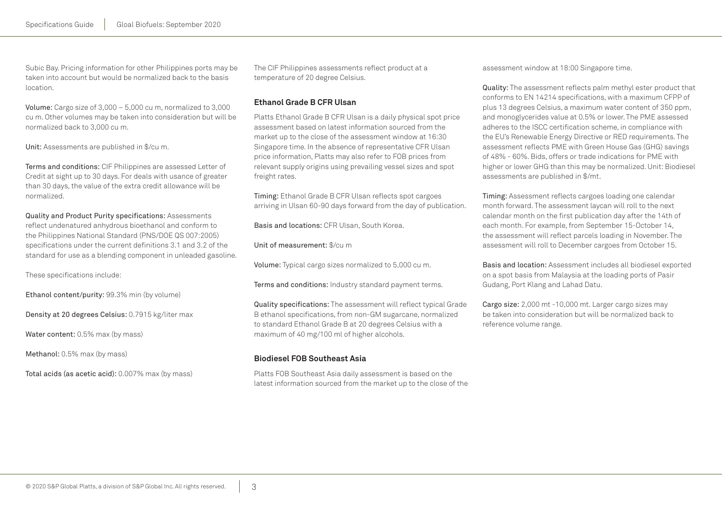Subic Bay. Pricing information for other Philippines ports may be taken into account but would be normalized back to the basis location.

Volume: Cargo size of 3,000 – 5,000 cu m, normalized to 3,000 cu m. Other volumes may be taken into consideration but will be normalized back to 3,000 cu m.

Unit: Assessments are published in \$/cu m.

Terms and conditions: CIF Philippines are assessed Letter of Credit at sight up to 30 days. For deals with usance of greater than 30 days, the value of the extra credit allowance will be normalized.

Quality and Product Purity specifications: Assessments reflect undenatured anhydrous bioethanol and conform to the Philippines National Standard (PNS/DOE QS 007:2005) specifications under the current definitions 3.1 and 3.2 of the standard for use as a blending component in unleaded gasoline.

These specifications include:

Ethanol content/purity: 99.3% min (by volume)

Density at 20 degrees Celsius: 0.7915 kg/liter max

Water content: 0.5% max (by mass)

Methanol: 0.5% max (by mass)

Total acids (as acetic acid): 0.007% max (by mass)

The CIF Philippines assessments reflect product at a temperature of 20 degree Celsius.

## **Ethanol Grade B CFR Ulsan**

Platts Ethanol Grade B CFR Ulsan is a daily physical spot price assessment based on latest information sourced from the market up to the close of the assessment window at 16:30 Singapore time. In the absence of representative CFR Ulsan price information, Platts may also refer to FOB prices from relevant supply origins using prevailing vessel sizes and spot freight rates.

Timing: Ethanol Grade B CFR Ulsan reflects spot cargoes arriving in Ulsan 60-90 days forward from the day of publication.

Basis and locations: CFR Ulsan, South Korea.

Unit of measurement: \$/cu m

Volume: Typical cargo sizes normalized to 5,000 cu m.

Terms and conditions: Industry standard payment terms.

Quality specifications: The assessment will reflect typical Grade B ethanol specifications, from non-GM sugarcane, normalized to standard Ethanol Grade B at 20 degrees Celsius with a maximum of 40 mg/100 ml of higher alcohols.

## **Biodiesel FOB Southeast Asia**

Platts FOB Southeast Asia daily assessment is based on the latest information sourced from the market up to the close of the assessment window at 18:00 Singapore time.

Quality: The assessment reflects palm methyl ester product that conforms to EN 14214 specifications, with a maximum CFPP of plus 13 degrees Celsius, a maximum water content of 350 ppm, and monoglycerides value at 0.5% or lower. The PME assessed adheres to the ISCC certification scheme, in compliance with the EU's Renewable Energy Directive or RED requirements. The assessment reflects PME with Green House Gas (GHG) savings of 48% - 60%. Bids, offers or trade indications for PME with higher or lower GHG than this may be normalized. Unit: Biodiesel assessments are published in \$/mt.

Timing: Assessment reflects cargoes loading one calendar month forward. The assessment laycan will roll to the next calendar month on the first publication day after the 14th of each month. For example, from September 15-October 14, the assessment will reflect parcels loading in November. The assessment will roll to December cargoes from October 15.

Basis and location: Assessment includes all biodiesel exported on a spot basis from Malaysia at the loading ports of Pasir Gudang, Port Klang and Lahad Datu.

Cargo size: 2,000 mt -10,000 mt. Larger cargo sizes may be taken into consideration but will be normalized back to reference volume range.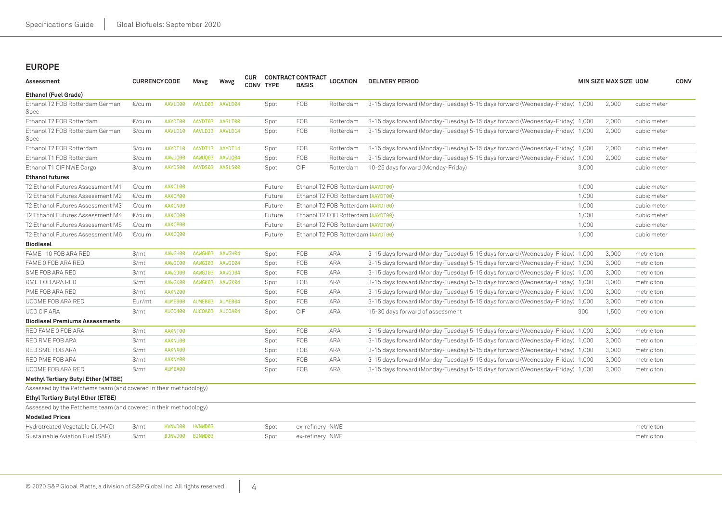# <span id="page-3-0"></span>**Europe**

| Assessment                                                       | <b>CURRENCY CODE</b> |                | Mavg    | Wavg            | <b>CUR</b><br><b>CONV TYPE</b> |        | <b>CONTRACT CONTRACT</b><br><b>BASIS</b> | <b>LOCATION</b>                    | <b>DELIVERY PERIOD</b>                                                        |       | MIN SIZE MAX SIZE UOM |             | <b>CONV</b> |
|------------------------------------------------------------------|----------------------|----------------|---------|-----------------|--------------------------------|--------|------------------------------------------|------------------------------------|-------------------------------------------------------------------------------|-------|-----------------------|-------------|-------------|
| <b>Ethanol (Fuel Grade)</b>                                      |                      |                |         |                 |                                |        |                                          |                                    |                                                                               |       |                       |             |             |
| Ethanol T2 FOB Rotterdam German<br>Spec                          | €/cu m               | AAVLD00        |         | AAVLD03 AAVLD04 |                                | Spot   | <b>FOB</b>                               | Rotterdam                          | 3-15 days forward (Monday-Tuesday) 5-15 days forward (Wednesday-Friday) 1,000 |       | 2,000                 | cubic meter |             |
| Ethanol T2 FOB Rotterdam                                         | €/cu m               | AAYDT00        | AAYDT03 | AASLT00         |                                | Spot   | <b>FOB</b>                               | Rotterdam                          | 3-15 days forward (Monday-Tuesday) 5-15 days forward (Wednesday-Friday) 1,000 |       | 2,000                 | cubic meter |             |
| Ethanol T2 FOB Rotterdam German<br>Spec                          | $\frac{C}{2}$ / cu m | AAVLD10        | AAVLD13 | AAVLD14         |                                | Spot   | <b>FOB</b>                               | Rotterdam                          | 3-15 days forward (Monday-Tuesday) 5-15 days forward (Wednesday-Friday) 1,000 |       | 2,000                 | cubic meter |             |
| Ethanol T2 FOB Rotterdam                                         | $\frac{C}{2}$ /cu m  | AAYDT10        |         | AAYDT13 AAYDT14 |                                | Spot   | <b>FOB</b>                               | Rotterdam                          | 3-15 days forward (Monday-Tuesday) 5-15 days forward (Wednesday-Friday) 1,000 |       | 2,000                 | cubic meter |             |
| Ethanol T1 FOB Rotterdam                                         | $\frac{C}{2}$ /cu m  | AAWU000        | AAWUQ03 | AAWU004         |                                | Spot   | <b>FOB</b>                               | Rotterdam                          | 3-15 days forward (Monday-Tuesday) 5-15 days forward (Wednesday-Friday) 1,000 |       | 2,000                 | cubic meter |             |
| Ethanol T1 CIF NWE Cargo                                         | $\frac{C}{2}$ /cu m  | AAYDS00        |         | AAYDS03 AASLS00 |                                | Spot   | CIF                                      | Rotterdam                          | 10-25 days forward (Monday-Friday)                                            | 3,000 |                       | cubic meter |             |
| <b>Ethanol futures</b>                                           |                      |                |         |                 |                                |        |                                          |                                    |                                                                               |       |                       |             |             |
| T2 Ethanol Futures Assessment M1                                 | €/cu m               | AAXCL00        |         |                 |                                | Future |                                          | Ethanol T2 FOB Rotterdam (AAYDT00) |                                                                               | 1,000 |                       | cubic meter |             |
| T2 Ethanol Futures Assessment M2                                 | €/cu m               | AAXCM00        |         |                 |                                | Future |                                          | Ethanol T2 FOB Rotterdam (AAYDT00) |                                                                               | 1,000 |                       | cubic meter |             |
| T2 Ethanol Futures Assessment M3                                 | €/cu m               | AAXCN00        |         |                 |                                | Future |                                          | Ethanol T2 FOB Rotterdam (AAYDT00) |                                                                               | 1,000 |                       | cubic meter |             |
| T2 Ethanol Futures Assessment M4                                 | €/cu m               | AAXCO00        |         |                 |                                | Future |                                          | Ethanol T2 FOB Rotterdam (AAYDT00) |                                                                               | 1,000 |                       | cubic meter |             |
| T2 Ethanol Futures Assessment M5                                 | €/cu m               | AAXCP00        |         |                 |                                | Future |                                          | Ethanol T2 FOB Rotterdam (AAYDT00) |                                                                               | 1,000 |                       | cubic meter |             |
| T2 Ethanol Futures Assessment M6                                 | €/cu m               | AAXCQ00        |         |                 |                                | Future |                                          | Ethanol T2 FOB Rotterdam (AAYDT00) |                                                                               | 1,000 |                       | cubic meter |             |
| <b>Biodiesel</b>                                                 |                      |                |         |                 |                                |        |                                          |                                    |                                                                               |       |                       |             |             |
| FAME -10 FOB ARA RED                                             | \$/mt                | AAWGH00        | AAWGH03 | AAWGH04         |                                | Spot   | <b>FOB</b>                               | <b>ARA</b>                         | 3-15 days forward (Monday-Tuesday) 5-15 days forward (Wednesday-Friday) 1,000 |       | 3,000                 | metric ton  |             |
| FAME 0 FOB ARA RED                                               | $\frac{m}{2}$        | AAWGI00        | AAWGI03 | AAWGI04         |                                | Spot   | FOB                                      | <b>ARA</b>                         | 3-15 days forward (Monday-Tuesday) 5-15 days forward (Wednesday-Friday) 1,000 |       | 3,000                 | metric ton  |             |
| SME FOB ARA RED                                                  | $\frac{m}{2}$        | AAWGJ00        | AAWGJ03 | AAWGJ04         |                                | Spot   | <b>FOB</b>                               | <b>ARA</b>                         | 3-15 days forward (Monday-Tuesday) 5-15 days forward (Wednesday-Friday) 1,000 |       | 3,000                 | metric ton  |             |
| RME FOB ARA RED                                                  | \$/mt                | AAWGK00        | AAWGK03 | AAWGK04         |                                | Spot   | <b>FOB</b>                               | <b>ARA</b>                         | 3-15 days forward (Monday-Tuesday) 5-15 days forward (Wednesday-Friday) 1,000 |       | 3,000                 | metric ton  |             |
| PME FOB ARA RED                                                  | $\frac{m}{2}$        | AAXNZ00        |         |                 |                                | Spot   | <b>FOB</b>                               | <b>ARA</b>                         | 3-15 days forward (Monday-Tuesday) 5-15 days forward (Wednesday-Friday) 1,000 |       | 3,000                 | metric ton  |             |
| UCOME FOB ARA RED                                                | Eur/mt               | AUMEB00        | AUMEB03 | AUMEB04         |                                | Spot   | <b>FOB</b>                               | <b>ARA</b>                         | 3-15 days forward (Monday-Tuesday) 5-15 days forward (Wednesday-Friday) 1,000 |       | 3,000                 | metric ton  |             |
| UCO CIF ARA                                                      | $\frac{m}{2}$        | <b>AUCO400</b> | AUCOA03 | AUCOA04         |                                | Spot   | CIF                                      | <b>ARA</b>                         | 15-30 days forward of assessment                                              | 300   | 1,500                 | metric ton  |             |
| <b>Biodiesel Premiums Assessments</b>                            |                      |                |         |                 |                                |        |                                          |                                    |                                                                               |       |                       |             |             |
| RED FAME 0 FOB ARA                                               | \$/mt                | AAXNT00        |         |                 |                                | Spot   | <b>FOB</b>                               | <b>ARA</b>                         | 3-15 days forward (Monday-Tuesday) 5-15 days forward (Wednesday-Friday) 1,000 |       | 3,000                 | metric ton  |             |
| RED RME FOB ARA                                                  | $\frac{m}{2}$        | AAXNU00        |         |                 |                                | Spot   | <b>FOB</b>                               | <b>ARA</b>                         | 3-15 days forward (Monday-Tuesday) 5-15 days forward (Wednesday-Friday) 1,000 |       | 3,000                 | metric ton  |             |
| RED SME FOB ARA                                                  | $\frac{m}{2}$        | AAXNX00        |         |                 |                                | Spot   | <b>FOB</b>                               | <b>ARA</b>                         | 3-15 days forward (Monday-Tuesday) 5-15 days forward (Wednesday-Friday) 1,000 |       | 3,000                 | metric ton  |             |
| RED PME FOB ARA                                                  | \$/mt                | AAXNY00        |         |                 |                                | Spot   | FOB                                      | ARA                                | 3-15 days forward (Monday-Tuesday) 5-15 days forward (Wednesday-Friday) 1,000 |       | 3,000                 | metric ton  |             |
| UCOME FOB ARA RED                                                | \$/mt                | AUMEA00        |         |                 |                                | Spot   | FOB                                      | <b>ARA</b>                         | 3-15 days forward (Monday-Tuesday) 5-15 days forward (Wednesday-Friday) 1,000 |       | 3,000                 | metric ton  |             |
| Methyl Tertiary Butyl Ether (MTBE)                               |                      |                |         |                 |                                |        |                                          |                                    |                                                                               |       |                       |             |             |
| Assessed by the Petchems team (and covered in their methodology) |                      |                |         |                 |                                |        |                                          |                                    |                                                                               |       |                       |             |             |
| Ethyl Tertiary Butyl Ether (ETBE)                                |                      |                |         |                 |                                |        |                                          |                                    |                                                                               |       |                       |             |             |
| Assessed by the Petchems team (and covered in their methodology) |                      |                |         |                 |                                |        |                                          |                                    |                                                                               |       |                       |             |             |
| <b>Modelled Prices</b>                                           |                      |                |         |                 |                                |        |                                          |                                    |                                                                               |       |                       |             |             |
| Hydrotreated Vegetable Oil (HVO)                                 | $\frac{m}{2}$        | HVNWD00        | HVNWD03 |                 |                                | Spot   | ex-refinery NWE                          |                                    |                                                                               |       |                       | metric ton  |             |
| Sustainable Aviation Fuel (SAF)                                  | $\frac{m}{2}$        | BJNWD00        | BJNWD03 |                 |                                | Spot   | ex-refinery NWE                          |                                    |                                                                               |       |                       | metric ton  |             |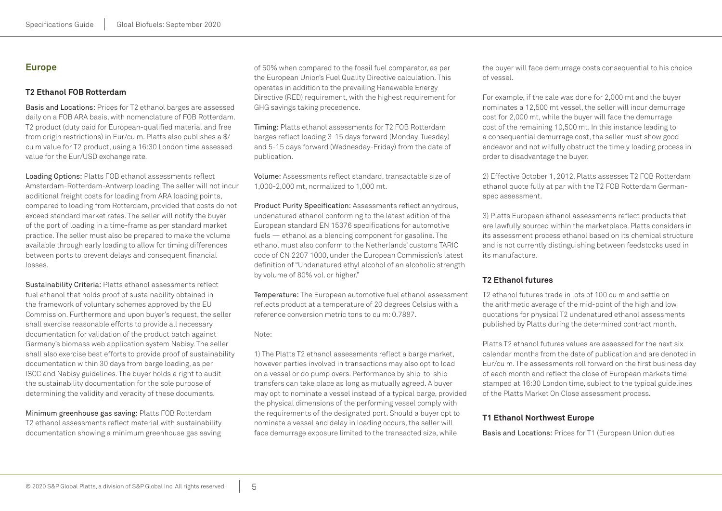# **Europe**

# **T2 Ethanol FOB Rotterdam**

Basis and Locations: Prices for T2 ethanol barges are assessed daily on a FOB ARA basis, with nomenclature of FOB Rotterdam. T2 product (duty paid for European-qualified material and free from origin restrictions) in Eur/cu m. Platts also publishes a \$/ cu m value for T2 product, using a 16:30 London time assessed value for the Eur/USD exchange rate.

Loading Options: Platts FOB ethanol assessments reflect Amsterdam-Rotterdam-Antwerp loading. The seller will not incur additional freight costs for loading from ARA loading points, compared to loading from Rotterdam, provided that costs do not exceed standard market rates. The seller will notify the buyer of the port of loading in a time-frame as per standard market practice. The seller must also be prepared to make the volume available through early loading to allow for timing differences between ports to prevent delays and consequent financial losses.

Sustainability Criteria: Platts ethanol assessments reflect fuel ethanol that holds proof of sustainability obtained in the framework of voluntary schemes approved by the EU Commission. Furthermore and upon buyer's request, the seller shall exercise reasonable efforts to provide all necessary documentation for validation of the product batch against Germany's biomass web application system Nabisy. The seller shall also exercise best efforts to provide proof of sustainability documentation within 30 days from barge loading, as per ISCC and Nabisy guidelines. The buyer holds a right to audit the sustainability documentation for the sole purpose of determining the validity and veracity of these documents.

Minimum greenhouse gas saving: Platts FOB Rotterdam T2 ethanol assessments reflect material with sustainability documentation showing a minimum greenhouse gas saving

of 50% when compared to the fossil fuel comparator, as per the European Union's Fuel Quality Directive calculation. This operates in addition to the prevailing Renewable Energy Directive (RED) requirement, with the highest requirement for GHG savings taking precedence.

Timing: Platts ethanol assessments for T2 FOB Rotterdam barges reflect loading 3-15 days forward (Monday-Tuesday) and 5-15 days forward (Wednesday-Friday) from the date of publication.

Volume: Assessments reflect standard, transactable size of 1,000-2,000 mt, normalized to 1,000 mt.

Product Purity Specification: Assessments reflect anhydrous, undenatured ethanol conforming to the latest edition of the European standard EN 15376 specifications for automotive fuels — ethanol as a blending component for gasoline. The ethanol must also conform to the Netherlands' customs TARIC code of CN 2207 1000, under the European Commission's latest definition of "Undenatured ethyl alcohol of an alcoholic strength by volume of 80% vol. or higher."

Temperature: The European automotive fuel ethanol assessment reflects product at a temperature of 20 degrees Celsius with a reference conversion metric tons to cu m: 0.7887.

#### Note:

1) The Platts T2 ethanol assessments reflect a barge market, however parties involved in transactions may also opt to load on a vessel or do pump overs. Performance by ship-to-ship transfers can take place as long as mutually agreed. A buyer may opt to nominate a vessel instead of a typical barge, provided the physical dimensions of the performing vessel comply with the requirements of the designated port. Should a buyer opt to nominate a vessel and delay in loading occurs, the seller will face demurrage exposure limited to the transacted size, while

the buyer will face demurrage costs consequential to his choice of vessel.

For example, if the sale was done for 2,000 mt and the buyer nominates a 12,500 mt vessel, the seller will incur demurrage cost for 2,000 mt, while the buyer will face the demurrage cost of the remaining 10,500 mt. In this instance leading to a consequential demurrage cost, the seller must show good endeavor and not wilfully obstruct the timely loading process in order to disadvantage the buyer.

2) Effective October 1, 2012, Platts assesses T2 FOB Rotterdam ethanol quote fully at par with the T2 FOB Rotterdam Germanspec assessment.

3) Platts European ethanol assessments reflect products that are lawfully sourced within the marketplace. Platts considers in its assessment process ethanol based on its chemical structure and is not currently distinguishing between feedstocks used in its manufacture.

# **T2 Ethanol futures**

T2 ethanol futures trade in lots of 100 cu m and settle on the arithmetic average of the mid-point of the high and low quotations for physical T2 undenatured ethanol assessments published by Platts during the determined contract month.

Platts T2 ethanol futures values are assessed for the next six calendar months from the date of publication and are denoted in Eur/cu m. The assessments roll forward on the first business day of each month and reflect the close of European markets time stamped at 16:30 London time, subject to the typical guidelines of the Platts Market On Close assessment process.

# **T1 Ethanol Northwest Europe**

Basis and Locations: Prices for T1 (European Union duties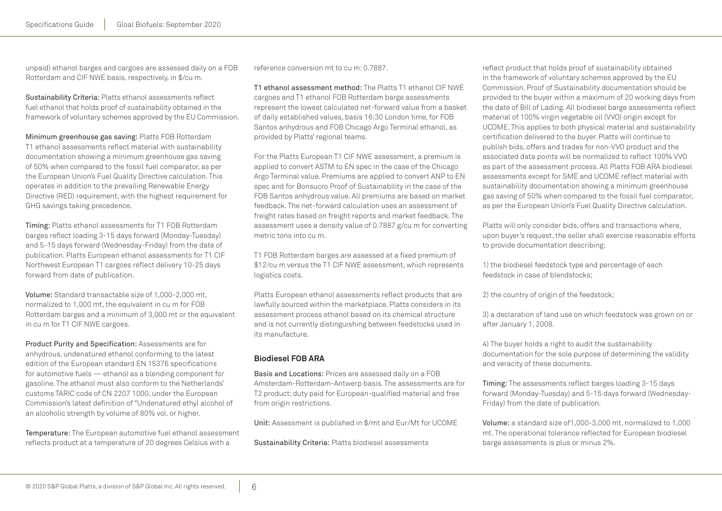unpaid) ethanol barges and cargoes are assessed daily on a FOB Rotterdam and CIF NWE basis, respectively, in \$/cu m.

Sustainability Criteria: Platts ethanol assessments reflect fuel ethanol that holds proof of sustainability obtained in the framework of voluntary schemes approved by the EU Commission.

Minimum greenhouse gas saving: Platts FOB Rotterdam T1 ethanol assessments reflect material with sustainability documentation showing a minimum greenhouse gas saving of 50% when compared to the fossil fuel comparator, as per the European Union's Fuel Quality Directive calculation. This operates in addition to the prevailing Renewable Energy Directive (RED) requirement, with the highest requirement for GHG savings taking precedence.

Timing: Platts ethanol assessments for T1 FOB Rotterdam barges reflect loading 3-15 days forward (Monday-Tuesday) and 5-15 days forward (Wednesday-Friday) from the date of publication. Platts European ethanol assessments for T1 CIF Northwest European T1 cargoes reflect delivery 10-25 days forward from date of publication.

Volume: Standard transactable size of 1,000-2,000 mt, normalized to 1,000 mt, the equivalent in cu m for FOB Rotterdam barges and a minimum of 3,000 mt or the equivalent in cu m for T1 CIF NWE cargoes.

Product Purity and Specification: Assessments are for anhydrous, undenatured ethanol conforming to the latest edition of the European standard EN 15376 specifications for automotive fuels — ethanol as a blending component for gasoline. The ethanol must also conform to the Netherlands' customs TARIC code of CN 2207 1000, under the European Commission's latest definition of "Undenatured ethyl alcohol of an alcoholic strength by volume of 80% vol. or higher.

Temperature: The European automotive fuel ethanol assessment reflects product at a temperature of 20 degrees Celsius with a

reference conversion mt to cu m: 0.7887.

T1 ethanol assessment method: The Platts T1 ethanol CIF NWE cargoes and T1 ethanol FOB Rotterdam barge assessments represent the lowest calculated net-forward value from a basket of daily established values, basis 16:30 London time, for FOB Santos anhydrous and FOB Chicago Argo Terminal ethanol, as provided by Platts' regional teams.

For the Platts European T1 CIF NWE assessment, a premium is applied to convert ASTM to EN spec in the case of the Chicago Argo Terminal value. Premiums are applied to convert ANP to EN spec and for Bonsucro Proof of Sustainability in the case of the FOB Santos anhydrous value. All premiums are based on market feedback. The net-forward calculation uses an assessment of freight rates based on freight reports and market feedback. The assessment uses a density value of 0.7887 g/cu m for converting metric tons into cu m.

T1 FOB Rotterdam barges are assessed at a fixed premium of \$12/cu m versus the T1 CIF NWE assessment, which represents logistics costs.

Platts European ethanol assessments reflect products that are lawfully sourced within the marketplace. Platts considers in its assessment process ethanol based on its chemical structure and is not currently distinguishing between feedstocks used in its manufacture.

# **Biodiesel FOB ARA**

Basis and Locations: Prices are assessed daily on a FOB Amsterdam-Rotterdam-Antwerp basis. The assessments are for T2 product; duty paid for European-qualified material and free from origin restrictions.

Unit: Assessment is published in \$/mt and Eur/Mt for UCOME

Sustainability Criteria: Platts biodiesel assessments

reflect product that holds proof of sustainability obtained in the framework of voluntary schemes approved by the EU Commission. Proof of Sustainability documentation should be provided to the buyer within a maximum of 20 working days from the date of Bill of Lading. All biodiesel barge assessments reflect material of 100% virgin vegetable oil (VVO) origin except for UCOME. This applies to both physical material and sustainability certification delivered to the buyer. Platts will continue to publish bids, offers and trades for non-VVO product and the associated data points will be normalized to reflect 100% VVO as part of the assessment process. All Platts FOB ARA biodiesel assessments except for SME and UCOME reflect material with sustainability documentation showing a minimum greenhouse gas saving of 50% when compared to the fossil fuel comparator, as per the European Union's Fuel Quality Directive calculation.

Platts will only consider bids, offers and transactions where, upon buyer's request, the seller shall exercise reasonable efforts to provide documentation describing:

1) the biodiesel feedstock type and percentage of each feedstock in case of blendstocks;

2) the country of origin of the feedstock;

3) a declaration of land use on which feedstock was grown on or after January 1, 2008.

4) The buyer holds a right to audit the sustainability documentation for the sole purpose of determining the validity and veracity of these documents.

Timing: The assessments reflect barges loading 3-15 days forward (Monday-Tuesday) and 5-15 days forward (Wednesday-Friday) from the date of publication.

Volume: a standard size of1,000-3,000 mt, normalized to 1,000 mt. The operational tolerance reflected for European biodiesel barge assessments is plus or minus 2%.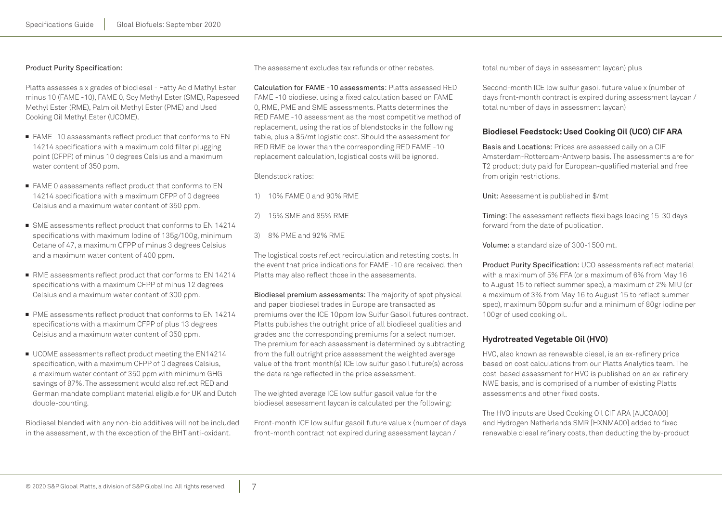#### Product Purity Specification:

Platts assesses six grades of biodiesel - Fatty Acid Methyl Ester minus 10 (FAME -10), FAME 0, Soy Methyl Ester (SME), Rapeseed Methyl Ester (RME), Palm oil Methyl Ester (PME) and Used Cooking Oil Methyl Ester (UCOME).

- FAME -10 assessments reflect product that conforms to EN 14214 specifications with a maximum cold filter plugging point (CFPP) of minus 10 degrees Celsius and a maximum water content of 350 ppm.
- FAME 0 assessments reflect product that conforms to EN 14214 specifications with a maximum CFPP of 0 degrees Celsius and a maximum water content of 350 ppm.
- SME assessments reflect product that conforms to EN 14214 specifications with maximum Iodine of 135g/100g, minimum Cetane of 47, a maximum CFPP of minus 3 degrees Celsius and a maximum water content of 400 ppm.
- RME assessments reflect product that conforms to EN 14214 specifications with a maximum CFPP of minus 12 degrees Celsius and a maximum water content of 300 ppm.
- PME assessments reflect product that conforms to EN 14214 specifications with a maximum CFPP of plus 13 degrees Celsius and a maximum water content of 350 ppm.
- UCOME assessments reflect product meeting the EN14214 specification, with a maximum CFPP of 0 degrees Celsius, a maximum water content of 350 ppm with minimum GHG savings of 87%. The assessment would also reflect RED and German mandate compliant material eligible for UK and Dutch double-counting.

Biodiesel blended with any non-bio additives will not be included in the assessment, with the exception of the BHT anti-oxidant.

The assessment excludes tax refunds or other rebates.

Calculation for FAME -10 assessments: Platts assessed RED FAME -10 biodiesel using a fixed calculation based on FAME 0, RME, PME and SME assessments. Platts determines the RED FAME -10 assessment as the most competitive method of replacement, using the ratios of blendstocks in the following table, plus a \$5/mt logistic cost. Should the assessment for RED RME be lower than the corresponding RED FAME -10 replacement calculation, logistical costs will be ignored.

#### Blendstock ratios:

- 1) 10% FAME 0 and 90% RME
- 2) 15% SME and 85% RME
- 3) 8% PME and 92% RME

The logistical costs reflect recirculation and retesting costs. In the event that price indications for FAME -10 are received, then Platts may also reflect those in the assessments.

Biodiesel premium assessments: The majority of spot physical and paper biodiesel trades in Europe are transacted as premiums over the ICE 10ppm low Sulfur Gasoil futures contract. Platts publishes the outright price of all biodiesel qualities and grades and the corresponding premiums for a select number. The premium for each assessment is determined by subtracting from the full outright price assessment the weighted average value of the front month(s) ICE low sulfur gasoil future(s) across the date range reflected in the price assessment.

The weighted average ICE low sulfur gasoil value for the biodiesel assessment laycan is calculated per the following:

Front-month ICE low sulfur gasoil future value x (number of days front-month contract not expired during assessment laycan /

total number of days in assessment laycan) plus

Second-month ICE low sulfur gasoil future value x (number of days front-month contract is expired during assessment laycan / total number of days in assessment laycan)

#### **Biodiesel Feedstock: Used Cooking Oil (UCO) CIF ARA**

Basis and Locations: Prices are assessed daily on a CIF Amsterdam-Rotterdam-Antwerp basis. The assessments are for T2 product; duty paid for European-qualified material and free from origin restrictions.

Unit: Assessment is published in \$/mt

Timing: The assessment reflects flexi bags loading 15-30 days forward from the date of publication.

Volume: a standard size of 300-1500 mt.

Product Purity Specification: UCO assessments reflect material with a maximum of 5% FFA (or a maximum of 6% from May 16 to August 15 to reflect summer spec), a maximum of 2% MIU (or a maximum of 3% from May 16 to August 15 to reflect summer spec), maximum 50ppm sulfur and a minimum of 80gr iodine per 100gr of used cooking oil.

#### **Hydrotreated Vegetable Oil (HVO)**

HVO, also known as renewable diesel, is an ex-refinery price based on cost calculations from our Platts Analytics team. The cost-based assessment for HVO is published on an ex-refinery NWE basis, and is comprised of a number of existing Platts assessments and other fixed costs.

The HVO inputs are Used Cooking Oil CIF ARA [AUCOA00] and Hydrogen Netherlands SMR [HXNMA00] added to fixed renewable diesel refinery costs, then deducting the by-product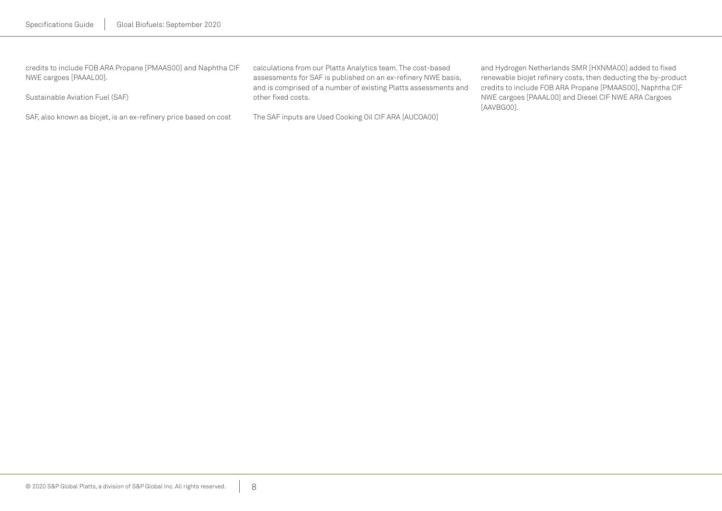| credits to include FOB ARA Propane [PMAAS00] and Naphtha CIF<br>NWE cargoes [PAAAL00]. | calculations from our Platts Analytics team. The cost-based<br>assessments for SAF is published on an ex-refinery NWE basis,<br>and is comprised of a number of existing Platts assessments and | and Hydrogen Netherlands SMR [HXNMA00] added to fixed<br>renewable biojet refinery costs, then deducting the by-product<br>credits to include FOB ARA Propane [PMAAS00], Naphtha CIF |
|----------------------------------------------------------------------------------------|-------------------------------------------------------------------------------------------------------------------------------------------------------------------------------------------------|--------------------------------------------------------------------------------------------------------------------------------------------------------------------------------------|
| Sustainable Aviation Fuel (SAF)                                                        | other fixed costs.                                                                                                                                                                              | NWE cargoes [PAAAL00] and Diesel CIF NWE ARA Cargoes<br>[AAVBG00].                                                                                                                   |
| SAF, also known as biojet, is an ex-refinery price based on cost                       | The SAF inputs are Used Cooking Oil CIF ARA [AUCOA00]                                                                                                                                           |                                                                                                                                                                                      |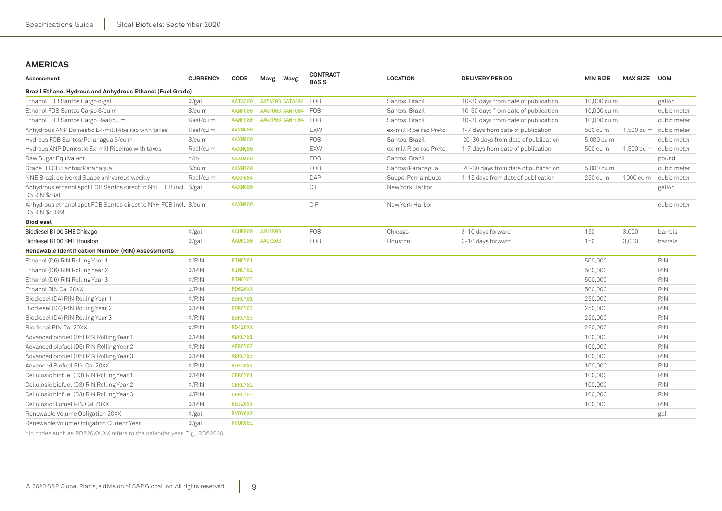# <span id="page-8-0"></span>**Americas**

| Assessment                                                                         | <b>CURRENCY</b> | CODE           |         | Mavg Wavg       | <b>CONTRACT</b><br><b>BASIS</b> | <b>LOCATION</b>        | <b>DELIVERY PERIOD</b>              | <b>MIN SIZE</b> | <b>MAX SIZE</b> | <b>UOM</b>  |
|------------------------------------------------------------------------------------|-----------------|----------------|---------|-----------------|---------------------------------|------------------------|-------------------------------------|-----------------|-----------------|-------------|
| Brazil Ethanol Hydrous and Anhydrous Ethanol (Fuel Grade)                          |                 |                |         |                 |                                 |                        |                                     |                 |                 |             |
| Ethanol FOB Santos Cargo c/gal                                                     | ¢/gal           | AATAE00        |         | AATAE03 AATAE04 | <b>FOB</b>                      | Santos, Brazil         | 10-30 days from date of publication | 10,000 cu m     |                 | gallon      |
| Ethanol FOB Santos Cargo \$/cu m                                                   | \$/cu m         | AAWF000        |         | AAWF003 AAWF004 | <b>FOB</b>                      | Santos, Brazil         | 10-30 days from date of publication | 10,000 cu m     |                 | cubic meter |
| Ethanol FOB Santos Cargo Real/cu m                                                 | Real/cu m       | AAWFP00        |         | AAWFP03 AAWFP04 | <b>FOB</b>                      | Santos, Brazil         | 10-30 days from date of publication | 10,000 cu m     |                 | cubic meter |
| Anhydrous ANP Domestic Ex-mill Ribeirao with taxes                                 | Real/cu m       | AAXNN00        |         |                 | EXW                             | ex-mill Ribeirao Preto | 1-7 days from date of publication   | 500 cu m        | 1,500 cu m      | cubic meter |
| Hydrous FOB Santos/Paranagua \$/cu m                                               | \$/cu m         | AAXNR00        |         |                 | <b>FOB</b>                      | Santos, Brazil         | 20-30 days from date of publication | 5,000 cu m      |                 | cubic meter |
| Hydrous ANP Domestic Ex-mill Ribeirao with taxes                                   | Real/cu m       | AAXNQ00        |         |                 | <b>EXW</b>                      | ex-mill Ribeirao Preto | 1-7 days from date of publication   | 500 cu m        | 1,500 cu m      | cubic meter |
| Raw Sugar Equivalent                                                               | c/lb            | AAX0A00        |         |                 | FOB                             | Santos, Brazil         |                                     |                 |                 | pound       |
| Grade B FOB Santos/Paranagua                                                       | \$/cu m         | AAXNS00        |         |                 | FOB                             | Santos/Paranagua       | 20-30 days from date of publication | 5,000 cu m      |                 | cubic meter |
| NNE Brazil delivered Suape anhydrous weekly                                        | Real/cu m       | AAXFW04        |         |                 | <b>DAP</b>                      | Suape, Pernambuco      | 1-15 days from date of publication  | 250 cu m        | 1000 cu m       | cubic meter |
| Anhydrous ethanol spot FOB Santos direct to NYH FOB incl. \$/gal<br>D5 RIN \$/Gal  |                 | AAXNO00        |         |                 | <b>CIF</b>                      | New York Harbor        |                                     |                 |                 | gallon      |
| Anhydrous ethanol spot FOB Santos direct to NYH FOB incl. \$/cu m<br>D5 RIN \$/CBM |                 | AAXNP00        |         |                 | CIF                             | New York Harbor        |                                     |                 |                 | cubic meter |
| <b>Biodiesel</b>                                                                   |                 |                |         |                 |                                 |                        |                                     |                 |                 |             |
| Biodiesel B100 SME Chicago                                                         | $\frac{d}{g}$   | AAURR00        | AAURR03 |                 | <b>FOB</b>                      | Chicago                | 3-10 days forward                   | 150             | 3,000           | barrels     |
| Biodiesel B100 SME Houston                                                         | ¢/gal           | AAURS00        | AAURS03 |                 | FOB                             | Houston                | 3-10 days forward                   | 150             | 3,000           | barrels     |
| Renewable Identification Number (RIN) Assessments                                  |                 |                |         |                 |                                 |                        |                                     |                 |                 |             |
| Ethanol (D6) RIN Rolling Year 1                                                    | $\frac{d}{R}$   | RINCY01        |         |                 |                                 |                        |                                     | 500,000         |                 | <b>RIN</b>  |
| Ethanol (D6) RIN Rolling Year 2                                                    | $\frac{4}{R}$   | RINCY02        |         |                 |                                 |                        |                                     | 500,000         |                 | <b>RIN</b>  |
| Ethanol (D6) RIN Rolling Year 3                                                    | $\frac{4}{R}$   | RINCY03        |         |                 |                                 |                        |                                     | 500,000         |                 | <b>RIN</b>  |
| Ethanol RIN Cal 20XX                                                               | $\frac{4}{R}$   | <b>RD620XX</b> |         |                 |                                 |                        |                                     | 500,000         |                 | <b>RIN</b>  |
| Biodiesel (D4) RIN Rolling Year 1                                                  | $\frac{4}{R}$   | BDRCY01        |         |                 |                                 |                        |                                     | 250,000         |                 | <b>RIN</b>  |
| Biodiesel (D4) RIN Rolling Year 2                                                  | $\frac{A}{A}$   | BDRCY02        |         |                 |                                 |                        |                                     | 250,000         |                 | <b>RIN</b>  |
| Biodiesel (D4) RIN Rolling Year 3                                                  | $\frac{A}{A}$   | BDRCY03        |         |                 |                                 |                        |                                     | 250,000         |                 | <b>RIN</b>  |
| Biodiesel RIN Cal 20XX                                                             | $\frac{A}{A}$   | <b>RD420XX</b> |         |                 |                                 |                        |                                     | 250,000         |                 | <b>RIN</b>  |
| Advanced biofuel (D5) RIN Rolling Year 1                                           | $\frac{d}{R}$   | ABRCY01        |         |                 |                                 |                        |                                     | 100,000         |                 | <b>RIN</b>  |
| Advanced biofuel (D5) RIN Rolling Year 2                                           | $\frac{A}{A}$   | ABRCY02        |         |                 |                                 |                        |                                     | 100,000         |                 | <b>RIN</b>  |
| Advanced biofuel (D5) RIN Rolling Year 3                                           | $\frac{A}{A}$   | ABRCY03        |         |                 |                                 |                        |                                     | 100,000         |                 | <b>RIN</b>  |
| Advanced Biofuel RIN Cal 20XX                                                      | $\frac{A}{A}$   | <b>RD520XX</b> |         |                 |                                 |                        |                                     | 100,000         |                 | <b>RIN</b>  |
| Cellulosic biofuel (D3) RIN Rolling Year 1                                         | $\frac{4}{R}$   | CBRCY01        |         |                 |                                 |                        |                                     | 100.000         |                 | <b>RIN</b>  |
| Cellulosic biofuel (D3) RIN Rolling Year 2                                         | ¢/RIN           | CBRCY02        |         |                 |                                 |                        |                                     | 100,000         |                 | <b>RIN</b>  |
| Cellulosic biofuel (D3) RIN Rolling Year 3                                         | $\frac{A}{A}$   | CBRCY03        |         |                 |                                 |                        |                                     | 100,000         |                 | <b>RIN</b>  |
| Cellulosic Biofuel RIN Cal 20XX                                                    | ¢/RIN           | <b>RD320XX</b> |         |                 |                                 |                        |                                     | 100,000         |                 | <b>RIN</b>  |
| Renewable Volume Obligation 20XX                                                   | ¢/gal           | <b>RVOYØXX</b> |         |                 |                                 |                        |                                     |                 |                 | gal         |
| Renewable Volume Obligation Current Year                                           | ¢/gal           | <b>RVOR002</b> |         |                 |                                 |                        |                                     |                 |                 |             |
| *In codes such as RD620XX, XX refers to the calendar year. E.g., RD62020           |                 |                |         |                 |                                 |                        |                                     |                 |                 |             |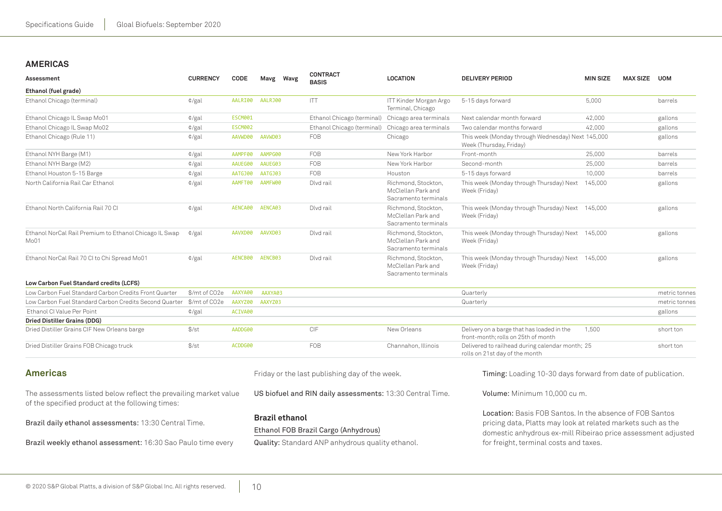# **Americas**

| Assessment                                                                                                                    | <b>CURRENCY</b> | CODE               |                    | Mavg Wavg             | <b>CONTRACT</b><br><b>BASIS</b>                                                          | <b>LOCATION</b>                                                   | <b>DELIVERY PERIOD</b>                                                                                                                                                                                                                     | <b>MIN SIZE</b> | <b>MAX SIZE</b> | <b>UOM</b>    |
|-------------------------------------------------------------------------------------------------------------------------------|-----------------|--------------------|--------------------|-----------------------|------------------------------------------------------------------------------------------|-------------------------------------------------------------------|--------------------------------------------------------------------------------------------------------------------------------------------------------------------------------------------------------------------------------------------|-----------------|-----------------|---------------|
| Ethanol (fuel grade)                                                                                                          |                 |                    |                    |                       |                                                                                          |                                                                   |                                                                                                                                                                                                                                            |                 |                 |               |
| Ethanol Chicago (terminal)                                                                                                    | $\phi$ /gal     | AALRI00            | AALRJ00            |                       | <b>ITT</b>                                                                               | ITT Kinder Morgan Argo<br>Terminal, Chicago                       | 5-15 days forward                                                                                                                                                                                                                          | 5,000           |                 | barrels       |
| Ethanol Chicago IL Swap Mo01                                                                                                  | $\frac{d}{g}$   | ESCM001            |                    |                       | Ethanol Chicago (terminal)                                                               | Chicago area terminals                                            | Next calendar month forward                                                                                                                                                                                                                | 42,000          |                 | gallons       |
| Ethanol Chicago IL Swap Mo02                                                                                                  | $\frac{d}{g}$   | <b>ESCM002</b>     |                    |                       | Ethanol Chicago (terminal)                                                               | Chicago area terminals                                            | Two calendar months forward                                                                                                                                                                                                                | 42,000          |                 | gallons       |
| Ethanol Chicago (Rule 11)                                                                                                     | $\phi$ /gal     | AAVWD00            | AAVWD03            |                       | FOB                                                                                      | Chicago                                                           | This week (Monday through Wednesday) Next 145,000<br>Week (Thursday, Friday)                                                                                                                                                               |                 |                 | gallons       |
| Ethanol NYH Barge (M1)                                                                                                        | $\phi$ /gal     | AAMPF00            | AAMPG00            |                       | FOB                                                                                      | New York Harbor                                                   | Front-month                                                                                                                                                                                                                                | 25,000          |                 | barrels       |
| Ethanol NYH Barge (M2)                                                                                                        | $\frac{d}{g}$   | AAUEG00            | AAUEG03            |                       | FOB                                                                                      | New York Harbor                                                   | Second-month                                                                                                                                                                                                                               | 25,000          |                 | barrels       |
| Ethanol Houston 5-15 Barge                                                                                                    | $\frac{d}{g}$   | AATGJ00            | AATGJ03            |                       | FOB                                                                                      | Houston                                                           | 5-15 days forward                                                                                                                                                                                                                          | 10,000          |                 | barrels       |
| North California Rail Car Ethanol                                                                                             | $\phi$ /gal     | AAMFT00            | AAMFW00            |                       | Dlvd rail                                                                                | Richmond, Stockton,<br>McClellan Park and<br>Sacramento terminals | This week (Monday through Thursday) Next<br>Week (Friday)                                                                                                                                                                                  | 145,000         |                 | gallons       |
| Ethanol North California Rail 70 Cl                                                                                           | $\frac{d}{g}$   | AENCA00            | AENCA03            |                       | Dlvd rail                                                                                | Richmond, Stockton,<br>McClellan Park and<br>Sacramento terminals | This week (Monday through Thursday) Next<br>Week (Friday)                                                                                                                                                                                  | 145,000         |                 | gallons       |
| Ethanol NorCal Rail Premium to Ethanol Chicago IL Swap<br>Mo01                                                                | $\phi$ /gal     | AAVXD00            | AAVXD03            |                       | Dlvd rail                                                                                | Richmond, Stockton,<br>McClellan Park and<br>Sacramento terminals | This week (Monday through Thursday) Next 145,000<br>Week (Friday)                                                                                                                                                                          |                 |                 | gallons       |
| Ethanol NorCal Rail 70 CI to Chi Spread Mo01                                                                                  | $\frac{d}{g}$   | AENCB00            | AENCB03            |                       | Dlvd rail                                                                                | Richmond, Stockton,<br>McClellan Park and<br>Sacramento terminals | This week (Monday through Thursday) Next 145,000<br>Week (Friday)                                                                                                                                                                          |                 |                 | gallons       |
| Low Carbon Fuel Standard credits (LCFS)                                                                                       |                 |                    |                    |                       |                                                                                          |                                                                   |                                                                                                                                                                                                                                            |                 |                 |               |
| Low Carbon Fuel Standard Carbon Credits Front Quarter<br>Low Carbon Fuel Standard Carbon Credits Second Quarter \$/mt of CO2e | \$/mt of CO2e   | AAXYA00<br>AAXYZ00 | AAXYA03<br>AAXYZ03 |                       |                                                                                          |                                                                   | Quarterly                                                                                                                                                                                                                                  |                 |                 | metric tonnes |
| Ethanol CI Value Per Point                                                                                                    |                 | ACIVA00            |                    |                       |                                                                                          |                                                                   | Quarterly                                                                                                                                                                                                                                  |                 |                 | metric tonnes |
| Dried Distiller Grains (DDG)                                                                                                  | $\frac{d}{g}$   |                    |                    |                       |                                                                                          |                                                                   |                                                                                                                                                                                                                                            |                 |                 | gallons       |
| Dried Distiller Grains CIF New Orleans barge                                                                                  | $\frac{f}{f}$   | AADDG00            |                    |                       | CIF                                                                                      | New Orleans                                                       | Delivery on a barge that has loaded in the<br>front-month: rolls on 25th of month                                                                                                                                                          | 1.500           |                 | short ton     |
| Dried Distiller Grains FOB Chicago truck                                                                                      | \$/st           | ACDDG00            |                    |                       | FOB                                                                                      | Channahon, Illinois                                               | Delivered to railhead during calendar month; 25<br>rolls on 21st day of the month                                                                                                                                                          |                 |                 | short ton     |
| <b>Americas</b>                                                                                                               |                 |                    |                    |                       | Friday or the last publishing day of the week.                                           |                                                                   | Timing: Loading 10-30 days forward from date of publication.                                                                                                                                                                               |                 |                 |               |
| The assessments listed below reflect the prevailing market value<br>of the specified product at the following times:          |                 |                    |                    |                       | US biofuel and RIN daily assessments: 13:30 Central Time.                                |                                                                   | Volume: Minimum 10.000 cu m.                                                                                                                                                                                                               |                 |                 |               |
| Brazil daily ethanol assessments: 13:30 Central Time.<br>Brazil weekly ethanol assessment: 16:30 Sao Paulo time every         |                 |                    |                    | <b>Brazil ethanol</b> | Ethanol FOB Brazil Cargo (Anhydrous)<br>Quality: Standard ANP anhydrous quality ethanol. |                                                                   | <b>Location:</b> Basis FOB Santos. In the absence of FOB Santos<br>pricing data, Platts may look at related markets such as the<br>domestic anhydrous ex-mill Ribeirao price assessment adjusted<br>for freight, terminal costs and taxes. |                 |                 |               |
|                                                                                                                               |                 |                    |                    |                       |                                                                                          |                                                                   |                                                                                                                                                                                                                                            |                 |                 |               |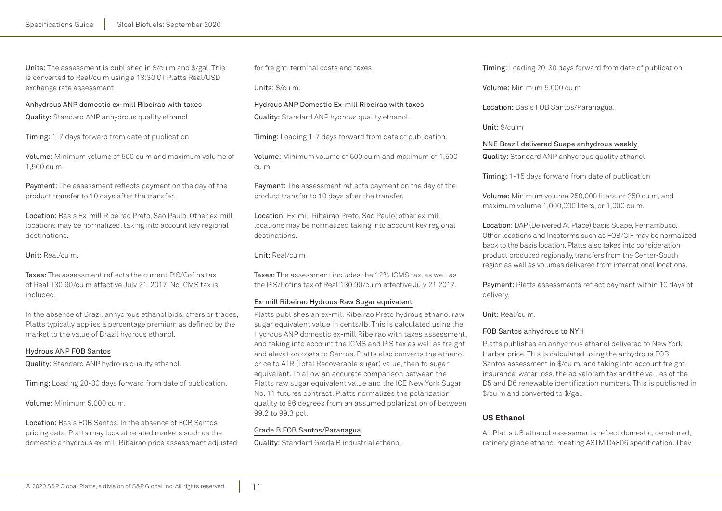Units: The assessment is published in \$/cu m and \$/gal. This is converted to Real/cu m using a 13:30 CT Platts Real/USD exchange rate assessment.

#### Anhydrous ANP domestic ex-mill Ribeirao with taxes

Quality: Standard ANP anhydrous quality ethanol

Timing: 1-7 days forward from date of publication

Volume: Minimum volume of 500 cu m and maximum volume of 1,500 cu m.

Payment: The assessment reflects payment on the day of the product transfer to 10 days after the transfer.

Location: Basis Ex-mill Ribeirao Preto, Sao Paulo. Other ex-mill locations may be normalized, taking into account key regional destinations.

Unit: Real/cu m.

Taxes: The assessment reflects the current PIS/Cofins tax of Real 130.90/cu m effective July 21, 2017. No ICMS tax is included.

In the absence of Brazil anhydrous ethanol bids, offers or trades, Platts typically applies a percentage premium as defined by the market to the value of Brazil hydrous ethanol.

#### Hydrous ANP FOB Santos

Quality: Standard ANP hydrous quality ethanol.

Timing: Loading 20-30 days forward from date of publication.

Volume: Minimum 5,000 cu m.

Location: Basis FOB Santos. In the absence of FOB Santos pricing data, Platts may look at related markets such as the domestic anhydrous ex-mill Ribeirao price assessment adjusted for freight, terminal costs and taxes

Units: \$/cu m.

## Hydrous ANP Domestic Ex-mill Ribeirao with taxes

Quality: Standard ANP hydrous quality ethanol.

Timing: Loading 1-7 days forward from date of publication.

Volume: Minimum volume of 500 cu m and maximum of 1,500 cu m.

Payment: The assessment reflects payment on the day of the product transfer to 10 days after the transfer.

Location: Ex-mill Ribeirao Preto, Sao Paulo; other ex-mill locations may be normalized taking into account key regional destinations.

#### Unit: Real/cu m

Taxes: The assessment includes the 12% ICMS tax, as well as the PIS/Cofins tax of Real 130.90/cu m effective July 21 2017.

#### Ex-mill Ribeirao Hydrous Raw Sugar equivalent

Platts publishes an ex-mill Ribeirao Preto hydrous ethanol raw sugar equivalent value in cents/lb. This is calculated using the Hydrous ANP domestic ex-mill Ribeirao with taxes assessment, and taking into account the ICMS and PIS tax as well as freight and elevation costs to Santos. Platts also converts the ethanol price to ATR (Total Recoverable sugar) value, then to sugar equivalent. To allow an accurate comparison between the Platts raw sugar equivalent value and the ICE New York Sugar No. 11 futures contract, Platts normalizes the polarization quality to 96 degrees from an assumed polarization of between 99.2 to 99.3 pol.

#### Grade B FOB Santos/Paranagua

Quality: Standard Grade B industrial ethanol.

Timing: Loading 20-30 days forward from date of publication.

Volume: Minimum 5,000 cu m

Location: Basis FOB Santos/Paranagua.

Unit: \$/cu m

#### NNE Brazil delivered Suape anhydrous weekly

Quality: Standard ANP anhydrous quality ethanol

Timing: 1-15 days forward from date of publication

Volume: Minimum volume 250,000 liters, or 250 cu m, and maximum volume 1,000,000 liters, or 1,000 cu m.

Location: DAP (Delivered At Place) basis Suape, Pernambuco. Other locations and Incoterms such as FOB/CIF may be normalized back to the basis location. Platts also takes into consideration product produced regionally, transfers from the Center-South region as well as volumes delivered from international locations.

Payment: Platts assessments reflect payment within 10 days of delivery.

Unit: Real/cu m.

## FOB Santos anhydrous to NYH

Platts publishes an anhydrous ethanol delivered to New York Harbor price. This is calculated using the anhydrous FOB Santos assessment in \$/cu m, and taking into account freight, insurance, water loss, the ad valorem tax and the values of the D5 and D6 renewable identification numbers. This is published in \$/cu m and converted to \$/gal.

# **US Ethanol**

All Platts US ethanol assessments reflect domestic, denatured, refinery grade ethanol meeting ASTM D4806 specification. They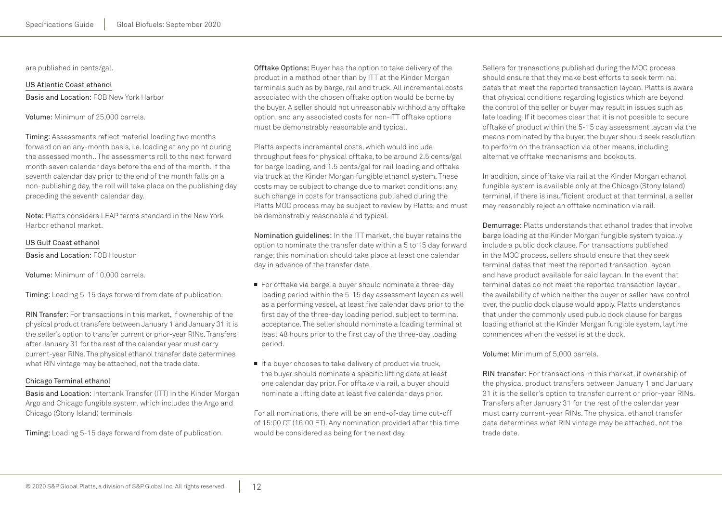are published in cents/gal.

US Atlantic Coast ethanol Basis and Location: FOB New York Harbor

Volume: Minimum of 25,000 barrels.

Timing: Assessments reflect material loading two months forward on an any-month basis, i.e. loading at any point during the assessed month.. The assessments roll to the next forward month seven calendar days before the end of the month. If the seventh calendar day prior to the end of the month falls on a non-publishing day, the roll will take place on the publishing day preceding the seventh calendar day.

Note: Platts considers LEAP terms standard in the New York Harbor ethanol market.

#### US Gulf Coast ethanol

Basis and Location: FOB Houston

Volume: Minimum of 10,000 barrels.

Timing: Loading 5-15 days forward from date of publication.

RIN Transfer: For transactions in this market, if ownership of the physical product transfers between January 1 and January 31 it is the seller's option to transfer current or prior-year RINs. Transfers after January 31 for the rest of the calendar year must carry current-year RINs. The physical ethanol transfer date determines what RIN vintage may be attached, not the trade date.

#### Chicago Terminal ethanol

Basis and Location: Intertank Transfer (ITT) in the Kinder Morgan Argo and Chicago fungible system, which includes the Argo and Chicago (Stony Island) terminals

Timing: Loading 5-15 days forward from date of publication.

Offtake Options: Buyer has the option to take delivery of the product in a method other than by ITT at the Kinder Morgan terminals such as by barge, rail and truck. All incremental costs associated with the chosen offtake option would be borne by the buyer. A seller should not unreasonably withhold any offtake option, and any associated costs for non-ITT offtake options must be demonstrably reasonable and typical.

Platts expects incremental costs, which would include throughput fees for physical offtake, to be around 2.5 cents/gal for barge loading, and 1.5 cents/gal for rail loading and offtake via truck at the Kinder Morgan fungible ethanol system. These costs may be subject to change due to market conditions; any such change in costs for transactions published during the Platts MOC process may be subject to review by Platts, and must be demonstrably reasonable and typical.

Nomination guidelines: In the ITT market, the buyer retains the option to nominate the transfer date within a 5 to 15 day forward range; this nomination should take place at least one calendar day in advance of the transfer date.

- For offtake via barge, a buyer should nominate a three-day loading period within the 5-15 day assessment laycan as well as a performing vessel, at least five calendar days prior to the first day of the three-day loading period, subject to terminal acceptance. The seller should nominate a loading terminal at least 48 hours prior to the first day of the three-day loading period.
- If a buyer chooses to take delivery of product via truck, the buyer should nominate a specific lifting date at least one calendar day prior. For offtake via rail, a buyer should nominate a lifting date at least five calendar days prior.

For all nominations, there will be an end-of-day time cut-off of 15:00 CT (16:00 ET). Any nomination provided after this time would be considered as being for the next day.

Sellers for transactions published during the MOC process should ensure that they make best efforts to seek terminal dates that meet the reported transaction laycan. Platts is aware that physical conditions regarding logistics which are beyond the control of the seller or buyer may result in issues such as late loading. If it becomes clear that it is not possible to secure offtake of product within the 5-15 day assessment laycan via the means nominated by the buyer, the buyer should seek resolution to perform on the transaction via other means, including alternative offtake mechanisms and bookouts.

In addition, since offtake via rail at the Kinder Morgan ethanol fungible system is available only at the Chicago (Stony Island) terminal, if there is insufficient product at that terminal, a seller may reasonably reject an offtake nomination via rail.

Demurrage: Platts understands that ethanol trades that involve barge loading at the Kinder Morgan fungible system typically include a public dock clause. For transactions published in the MOC process, sellers should ensure that they seek terminal dates that meet the reported transaction laycan and have product available for said laycan. In the event that terminal dates do not meet the reported transaction laycan, the availability of which neither the buyer or seller have control over, the public dock clause would apply. Platts understands that under the commonly used public dock clause for barges loading ethanol at the Kinder Morgan fungible system, laytime commences when the vessel is at the dock.

Volume: Minimum of 5,000 barrels.

RIN transfer: For transactions in this market, if ownership of the physical product transfers between January 1 and January 31 it is the seller's option to transfer current or prior-year RINs. Transfers after January 31 for the rest of the calendar year must carry current-year RINs. The physical ethanol transfer date determines what RIN vintage may be attached, not the trade date.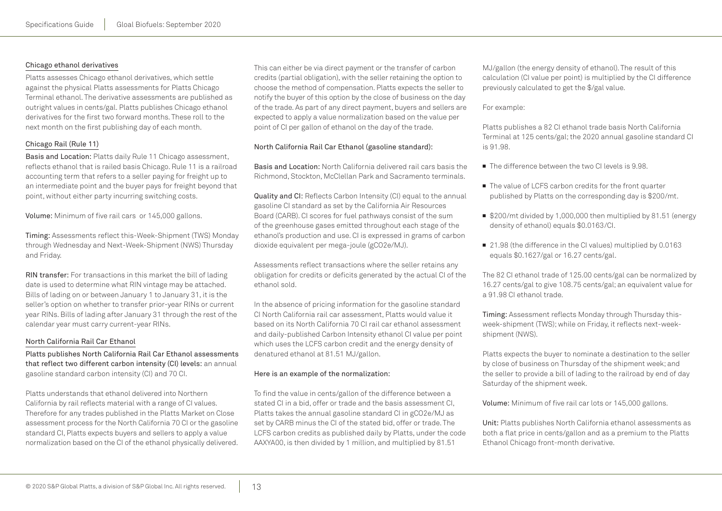#### Chicago ethanol derivatives

Platts assesses Chicago ethanol derivatives, which settle against the physical Platts assessments for Platts Chicago Terminal ethanol. The derivative assessments are published as outright values in cents/gal. Platts publishes Chicago ethanol derivatives for the first two forward months. These roll to the next month on the first publishing day of each month.

## Chicago Rail (Rule 11)

Basis and Location: Platts daily Rule 11 Chicago assessment, reflects ethanol that is railed basis Chicago. Rule 11 is a railroad accounting term that refers to a seller paying for freight up to an intermediate point and the buyer pays for freight beyond that point, without either party incurring switching costs.

Volume: Minimum of five rail cars or 145,000 gallons.

Timing: Assessments reflect this-Week-Shipment (TWS) Monday through Wednesday and Next-Week-Shipment (NWS) Thursday and Friday.

RIN transfer: For transactions in this market the bill of lading date is used to determine what RIN vintage may be attached. Bills of lading on or between January 1 to January 31, it is the seller's option on whether to transfer prior-year RINs or current year RINs. Bills of lading after January 31 through the rest of the calendar year must carry current-year RINs.

#### North California Rail Car Ethanol

Platts publishes North California Rail Car Ethanol assessments that reflect two different carbon intensity (CI) levels: an annual gasoline standard carbon intensity (CI) and 70 CI.

Platts understands that ethanol delivered into Northern California by rail reflects material with a range of CI values. Therefore for any trades published in the Platts Market on Close assessment process for the North California 70 CI or the gasoline standard CI, Platts expects buyers and sellers to apply a value normalization based on the CI of the ethanol physically delivered. This can either be via direct payment or the transfer of carbon credits (partial obligation), with the seller retaining the option to choose the method of compensation. Platts expects the seller to notify the buyer of this option by the close of business on the day of the trade. As part of any direct payment, buyers and sellers are expected to apply a value normalization based on the value per point of CI per gallon of ethanol on the day of the trade.

## North California Rail Car Ethanol (gasoline standard):

Basis and Location: North California delivered rail cars basis the Richmond, Stockton, McClellan Park and Sacramento terminals.

Quality and CI: Reflects Carbon Intensity (CI) equal to the annual gasoline CI standard as set by the California Air Resources Board (CARB). CI scores for fuel pathways consist of the sum of the greenhouse gases emitted throughout each stage of the ethanol's production and use. CI is expressed in grams of carbon dioxide equivalent per mega-joule (gCO2e/MJ).

Assessments reflect transactions where the seller retains any obligation for credits or deficits generated by the actual CI of the ethanol sold.

In the absence of pricing information for the gasoline standard CI North California rail car assessment, Platts would value it based on its North California 70 CI rail car ethanol assessment and daily-published Carbon Intensity ethanol CI value per point which uses the LCFS carbon credit and the energy density of denatured ethanol at 81.51 MJ/gallon.

#### Here is an example of the normalization:

To find the value in cents/gallon of the difference between a stated CI in a bid, offer or trade and the basis assessment CI, Platts takes the annual gasoline standard CI in gCO2e/MJ as set by CARB minus the CI of the stated bid, offer or trade. The LCFS carbon credits as published daily by Platts, under the code AAXYA00, is then divided by 1 million, and multiplied by 81.51

MJ/gallon (the energy density of ethanol). The result of this calculation (CI value per point) is multiplied by the CI difference previously calculated to get the \$/gal value.

#### For example:

Platts publishes a 82 CI ethanol trade basis North California Terminal at 125 cents/gal; the 2020 annual gasoline standard CI is 91.98.

- The difference between the two CI levels is 9.98
- The value of LCFS carbon credits for the front quarter published by Platts on the corresponding day is \$200/mt.
- \$200/mt divided by 1,000,000 then multiplied by 81.51 (energy density of ethanol) equals \$0.0163/CI.
- 21.98 (the difference in the CI values) multiplied by 0.0163 equals \$0.1627/gal or 16.27 cents/gal.

The 82 CI ethanol trade of 125.00 cents/gal can be normalized by 16.27 cents/gal to give 108.75 cents/gal; an equivalent value for a 91.98 CI ethanol trade.

Timing: Assessment reflects Monday through Thursday thisweek-shipment (TWS); while on Friday, it reflects next-weekshipment (NWS).

Platts expects the buyer to nominate a destination to the seller by close of business on Thursday of the shipment week; and the seller to provide a bill of lading to the railroad by end of day Saturday of the shipment week.

Volume: Minimum of five rail car lots or 145,000 gallons.

Unit: Platts publishes North California ethanol assessments as both a flat price in cents/gallon and as a premium to the Platts Ethanol Chicago front-month derivative.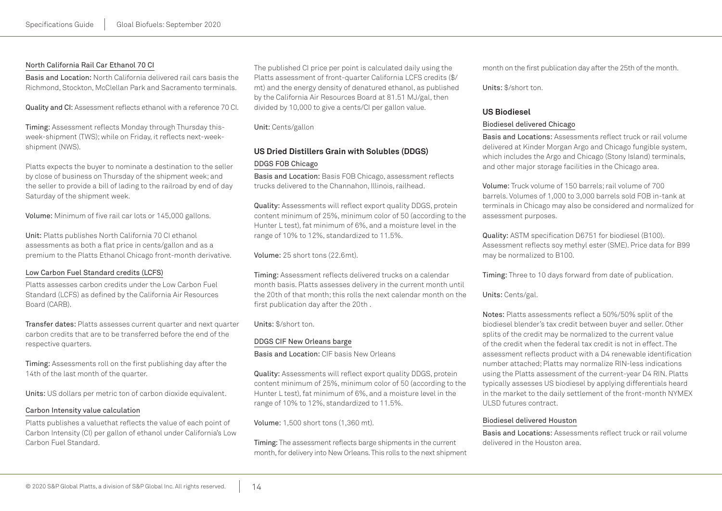#### North California Rail Car Ethanol 70 CI

Basis and Location: North California delivered rail cars basis the Richmond, Stockton, McClellan Park and Sacramento terminals.

Quality and CI: Assessment reflects ethanol with a reference 70 CI.

Timing: Assessment reflects Monday through Thursday thisweek-shipment (TWS); while on Friday, it reflects next-weekshipment (NWS).

Platts expects the buyer to nominate a destination to the seller by close of business on Thursday of the shipment week; and the seller to provide a bill of lading to the railroad by end of day Saturday of the shipment week.

Volume: Minimum of five rail car lots or 145,000 gallons.

Unit: Platts publishes North California 70 CI ethanol assessments as both a flat price in cents/gallon and as a premium to the Platts Ethanol Chicago front-month derivative.

#### Low Carbon Fuel Standard credits (LCFS)

Platts assesses carbon credits under the Low Carbon Fuel Standard (LCFS) as defined by the California Air Resources Board (CARB).

Transfer dates: Platts assesses current quarter and next quarter carbon credits that are to be transferred before the end of the respective quarters.

Timing: Assessments roll on the first publishing day after the 14th of the last month of the quarter.

Units: US dollars per metric ton of carbon dioxide equivalent.

#### Carbon Intensity value calculation

Platts publishes a valuethat reflects the value of each point of Carbon Intensity (CI) per gallon of ethanol under California's Low Carbon Fuel Standard.

The published CI price per point is calculated daily using the Platts assessment of front-quarter California LCFS credits (\$/ mt) and the energy density of denatured ethanol, as published by the California Air Resources Board at 81.51 MJ/gal, then divided by 10,000 to give a cents/CI per gallon value.

Unit: Cents/gallon

# **US Dried Distillers Grain with Solubles (DDGS)** DDGS FOB Chicago

Basis and Location: Basis FOB Chicago, assessment reflects trucks delivered to the Channahon, Illinois, railhead.

Quality: Assessments will reflect export quality DDGS, protein content minimum of 25%, minimum color of 50 (according to the Hunter L test), fat minimum of 6%, and a moisture level in the range of 10% to 12%, standardized to 11.5%.

Volume: 25 short tons (22.6mt).

Timing: Assessment reflects delivered trucks on a calendar month basis. Platts assesses delivery in the current month until the 20th of that month; this rolls the next calendar month on the first publication day after the 20th .

Units: \$/short ton.

#### DDGS CIF New Orleans barge

Basis and Location: CIF basis New Orleans

Quality: Assessments will reflect export quality DDGS, protein content minimum of 25%, minimum color of 50 (according to the Hunter L test), fat minimum of 6%, and a moisture level in the range of 10% to 12%, standardized to 11.5%.

Volume: 1,500 short tons (1,360 mt).

Timing: The assessment reflects barge shipments in the current month, for delivery into New Orleans. This rolls to the next shipment month on the first publication day after the 25th of the month.

Units: \$/short ton.

## **US Biodiesel**

#### Biodiesel delivered Chicago

Basis and Locations: Assessments reflect truck or rail volume delivered at Kinder Morgan Argo and Chicago fungible system, which includes the Argo and Chicago (Stony Island) terminals, and other major storage facilities in the Chicago area.

Volume: Truck volume of 150 barrels; rail volume of 700 barrels. Volumes of 1,000 to 3,000 barrels sold FOB in-tank at terminals in Chicago may also be considered and normalized for assessment purposes.

Quality: ASTM specification D6751 for biodiesel (B100). Assessment reflects soy methyl ester (SME). Price data for B99 may be normalized to B100.

Timing: Three to 10 days forward from date of publication.

Units: Cents/gal.

Notes: Platts assessments reflect a 50%/50% split of the biodiesel blender's tax credit between buyer and seller. Other splits of the credit may be normalized to the current value of the credit when the federal tax credit is not in effect. The assessment reflects product with a D4 renewable identification number attached; Platts may normalize RIN-less indications using the Platts assessment of the current-year D4 RIN. Platts typically assesses US biodiesel by applying differentials heard in the market to the daily settlement of the front-month NYMEX ULSD futures contract.

#### Biodiesel delivered Houston

Basis and Locations: Assessments reflect truck or rail volume delivered in the Houston area.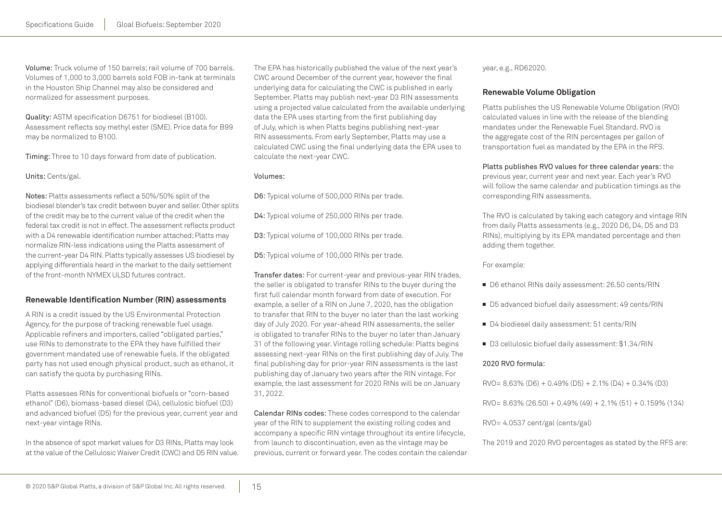Volume: Truck volume of 150 barrels; rail volume of 700 barrels. Volumes of 1,000 to 3,000 barrels sold FOB in-tank at terminals in the Houston Ship Channel may also be considered and normalized for assessment purposes.

Quality: ASTM specification D6751 for biodiesel (B100). Assessment reflects soy methyl ester (SME). Price data for B99 may be normalized to B100.

Timing: Three to 10 days forward from date of publication.

Units: Cents/gal.

Notes: Platts assessments reflect a 50%/50% split of the biodiesel blender's tax credit between buyer and seller. Other splits of the credit may be to the current value of the credit when the federal tax credit is not in effect. The assessment reflects product with a D4 renewable identification number attached; Platts may normalize RIN-less indications using the Platts assessment of the current-year D4 RIN. Platts typically assesses US biodiesel by applying differentials heard in the market to the daily settlement of the front-month NYMEX ULSD futures contract.

# **Renewable Identification Number (RIN) assessments**

A RIN is a credit issued by the US Environmental Protection Agency, for the purpose of tracking renewable fuel usage. Applicable refiners and importers, called "obligated parties," use RINs to demonstrate to the EPA they have fulfilled their government mandated use of renewable fuels. If the obligated party has not used enough physical product, such as ethanol, it can satisfy the quota by purchasing RINs.

Platts assesses RINs for conventional biofuels or "corn-based ethanol" (D6), biomass-based diesel (D4), cellulosic biofuel (D3) and advanced biofuel (D5) for the previous year, current year and next-year vintage RINs.

In the absence of spot market values for D3 RINs, Platts may look at the value of the Cellulosic Waiver Credit (CWC) and D5 RIN value. The EPA has historically published the value of the next year's CWC around December of the current year, however the final underlying data for calculating the CWC is published in early September. Platts may publish next-year D3 RIN assessments using a projected value calculated from the available underlying data the EPA uses starting from the first publishing day of July, which is when Platts begins publishing next-year RIN assessments. From early September, Platts may use a calculated CWC using the final underlying data the EPA uses to calculate the next-year CWC.

#### Volumes:

D6: Typical volume of 500,000 RINs per trade.

D4: Typical volume of 250,000 RINs per trade.

D3: Typical volume of 100,000 RINs per trade.

D5: Typical volume of 100,000 RINs per trade.

Transfer dates: For current-year and previous-year RIN trades, the seller is obligated to transfer RINs to the buyer during the first full calendar month forward from date of execution. For example, a seller of a RIN on June 7, 2020, has the obligation to transfer that RIN to the buyer no later than the last working day of July 2020. For year-ahead RIN assessments, the seller is obligated to transfer RINs to the buyer no later than January 31 of the following year. Vintage rolling schedule: Platts begins assessing next-year RINs on the first publishing day of July. The final publishing day for prior-year RIN assessments is the last publishing day of January two years after the RIN vintage. For example, the last assessment for 2020 RINs will be on January 31, 2022.

Calendar RINs codes: These codes correspond to the calendar year of the RIN to supplement the existing rolling codes and accompany a specific RIN vintage throughout its entire lifecycle, from launch to discontinuation, even as the vintage may be previous, current or forward year. The codes contain the calendar year, e.g., RD62020.

# **Renewable Volume Obligation**

Platts publishes the US Renewable Volume Obligation (RVO) calculated values in line with the release of the blending mandates under the Renewable Fuel Standard. RVO is the aggregate cost of the RIN percentages per gallon of transportation fuel as mandated by the EPA in the RFS.

Platts publishes RVO values for three calendar years: the previous year, current year and next year. Each year's RVO will follow the same calendar and publication timings as the corresponding RIN assessments.

The RVO is calculated by taking each category and vintage RIN from daily Platts assessments (e.g., 2020 D6, D4, D5 and D3 RINs), multiplying by its EPA mandated percentage and then adding them together.

For example:

- D6 ethanol RINs daily assessment: 26.50 cents/RIN
- D5 advanced biofuel daily assessment: 49 cents/RIN
- D4 biodiesel daily assessment: 51 cents/RIN
- D3 cellulosic biofuel daily assessment: \$1.34/RIN

#### 2020 RVO formula:

- $RVO = 8.63\% (D6) + 0.49\% (D5) + 2.1\% (D4) + 0.34\% (D3)$
- $RVO = 8.63\% (26.50) + 0.49\% (49) + 2.1\% (51) + 0.159\% (134)$

RVO= 4.0537 cent/gal (cents/gal)

The 2019 and 2020 RVO percentages as stated by the RFS are: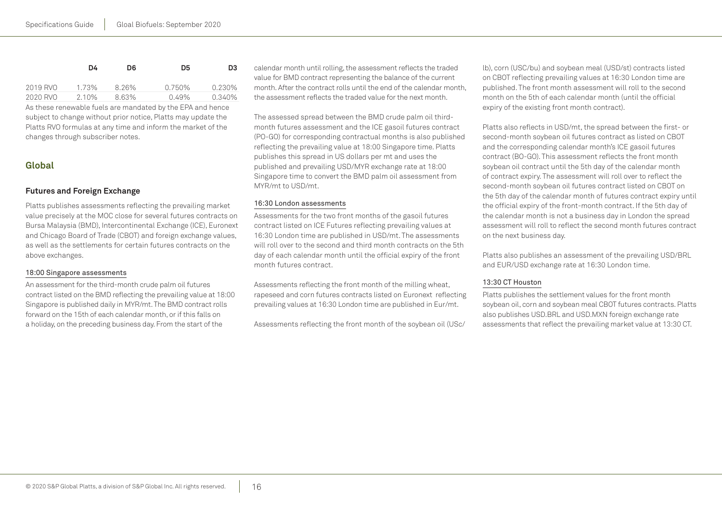|          | D4    | D6.   | D5       | D3     |
|----------|-------|-------|----------|--------|
| 2019 RVO | 1.73% | 8.26% | 0.750%   | 0.230% |
| 2020 RVO | 2.10% | 8.63% | $0.49\%$ | 0.340% |

As these renewable fuels are mandated by the EPA and hence subject to change without prior notice, Platts may update the Platts RVO formulas at any time and inform the market of the changes through subscriber notes.

# **Global**

# **Futures and Foreign Exchange**

Platts publishes assessments reflecting the prevailing market value precisely at the MOC close for several futures contracts on Bursa Malaysia (BMD), Intercontinental Exchange (ICE), Euronext and Chicago Board of Trade (CBOT) and foreign exchange values, as well as the settlements for certain futures contracts on the above exchanges.

#### 18:00 Singapore assessments

An assessment for the third-month crude palm oil futures contract listed on the BMD reflecting the prevailing value at 18:00 Singapore is published daily in MYR/mt. The BMD contract rolls forward on the 15th of each calendar month, or if this falls on a holiday, on the preceding business day. From the start of the

calendar month until rolling, the assessment reflects the traded value for BMD contract representing the balance of the current month. After the contract rolls until the end of the calendar month, the assessment reflects the traded value for the next month.

The assessed spread between the BMD crude palm oil thirdmonth futures assessment and the ICE gasoil futures contract (PO-GO) for corresponding contractual months is also published reflecting the prevailing value at 18:00 Singapore time. Platts publishes this spread in US dollars per mt and uses the published and prevailing USD/MYR exchange rate at 18:00 Singapore time to convert the BMD palm oil assessment from MYR/mt to USD/mt.

#### 16:30 London assessments

Assessments for the two front months of the gasoil futures contract listed on ICE Futures reflecting prevailing values at 16:30 London time are published in USD/mt. The assessments will roll over to the second and third month contracts on the 5th day of each calendar month until the official expiry of the front month futures contract.

Assessments reflecting the front month of the milling wheat, rapeseed and corn futures contracts listed on Euronext reflecting prevailing values at 16:30 London time are published in Eur/mt.

Assessments reflecting the front month of the soybean oil (USc/

lb), corn (USC/bu) and soybean meal (USD/st) contracts listed on CBOT reflecting prevailing values at 16:30 London time are published. The front month assessment will roll to the second month on the 5th of each calendar month (until the official expiry of the existing front month contract).

Platts also reflects in USD/mt, the spread between the first- or second-month soybean oil futures contract as listed on CBOT and the corresponding calendar month's ICE gasoil futures contract (BO-GO). This assessment reflects the front month soybean oil contract until the 5th day of the calendar month of contract expiry. The assessment will roll over to reflect the second-month soybean oil futures contract listed on CBOT on the 5th day of the calendar month of futures contract expiry until the official expiry of the front-month contract. If the 5th day of the calendar month is not a business day in London the spread assessment will roll to reflect the second month futures contract on the next business day.

Platts also publishes an assessment of the prevailing USD/BRL and EUR/USD exchange rate at 16:30 London time.

#### 13:30 CT Houston

Platts publishes the settlement values for the front month soybean oil, corn and soybean meal CBOT futures contracts. Platts also publishes USD.BRL and USD.MXN foreign exchange rate assessments that reflect the prevailing market value at 13:30 CT.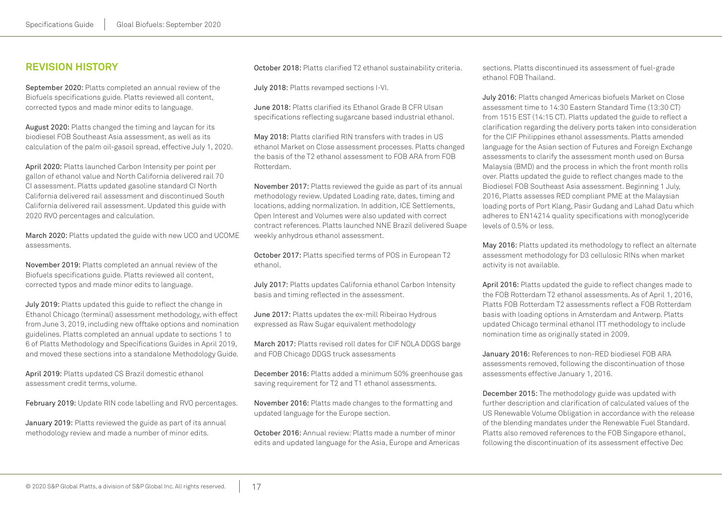# <span id="page-16-0"></span>**Revision history**

September 2020: Platts completed an annual review of the Biofuels specifications guide. Platts reviewed all content, corrected typos and made minor edits to language.

August 2020: Platts changed the timing and laycan for its biodiesel FOB Southeast Asia assessment, as well as its calculation of the palm oil-gasoil spread, effective July 1, 2020.

April 2020: Platts launched Carbon Intensity per point per gallon of ethanol value and North California delivered rail 70 CI assessment. Platts updated gasoline standard CI North California delivered rail assessment and discontinued South California delivered rail assessment. Updated this guide with 2020 RVO percentages and calculation.

March 2020: Platts updated the guide with new UCO and UCOME assessments.

November 2019: Platts completed an annual review of the Biofuels specifications guide. Platts reviewed all content, corrected typos and made minor edits to language.

July 2019: Platts updated this guide to reflect the change in Ethanol Chicago (terminal) assessment methodology, with effect from June 3, 2019, including new offtake options and nomination guidelines. Platts completed an annual update to sections 1 to 6 of Platts Methodology and Specifications Guides in April 2019, and moved these sections into a standalone Methodology Guide.

April 2019: Platts updated CS Brazil domestic ethanol assessment credit terms, volume.

February 2019: Update RIN code labelling and RVO percentages.

January 2019: Platts reviewed the guide as part of its annual methodology review and made a number of minor edits.

October 2018: Platts clarified T2 ethanol sustainability criteria.

July 2018: Platts revamped sections I-VI.

June 2018: Platts clarified its Ethanol Grade B CFR Ulsan specifications reflecting sugarcane based industrial ethanol.

May 2018: Platts clarified RIN transfers with trades in US ethanol Market on Close assessment processes. Platts changed the basis of the T2 ethanol assessment to FOB ARA from FOB Rotterdam.

November 2017: Platts reviewed the guide as part of its annual methodology review. Updated Loading rate, dates, timing and locations, adding normalization. In addition, ICE Settlements, Open Interest and Volumes were also updated with correct contract references. Platts launched NNE Brazil delivered Suape weekly anhydrous ethanol assessment.

October 2017: Platts specified terms of POS in European T2 ethanol.

July 2017: Platts updates California ethanol Carbon Intensity basis and timing reflected in the assessment.

June 2017: Platts updates the ex-mill Ribeirao Hydrous expressed as Raw Sugar equivalent methodology

March 2017: Platts revised roll dates for CIF NOLA DDGS barge and FOB Chicago DDGS truck assessments

December 2016: Platts added a minimum 50% greenhouse gas saving requirement for T2 and T1 ethanol assessments.

November 2016: Platts made changes to the formatting and updated language for the Europe section.

October 2016: Annual review: Platts made a number of minor edits and updated language for the Asia, Europe and Americas sections. Platts discontinued its assessment of fuel-grade ethanol FOB Thailand.

July 2016: Platts changed Americas biofuels Market on Close assessment time to 14:30 Eastern Standard Time (13:30 CT) from 1515 EST (14:15 CT). Platts updated the guide to reflect a clarification regarding the delivery ports taken into consideration for the CIF Philippines ethanol assessments. Platts amended language for the Asian section of Futures and Foreign Exchange assessments to clarify the assessment month used on Bursa Malaysia (BMD) and the process in which the front month rolls over. Platts updated the guide to reflect changes made to the Biodiesel FOB Southeast Asia assessment. Beginning 1 July, 2016, Platts assesses RED compliant PME at the Malaysian loading ports of Port Klang, Pasir Gudang and Lahad Datu which adheres to EN14214 quality specifications with monoglyceride levels of 0.5% or less.

May 2016: Platts updated its methodology to reflect an alternate assessment methodology for D3 cellulosic RINs when market activity is not available.

April 2016: Platts updated the guide to reflect changes made to the FOB Rotterdam T2 ethanol assessments. As of April 1, 2016, Platts FOB Rotterdam T2 assessments reflect a FOB Rotterdam basis with loading options in Amsterdam and Antwerp. Platts updated Chicago terminal ethanol ITT methodology to include nomination time as originally stated in 2009.

January 2016: References to non-RED biodiesel FOB ARA assessments removed, following the discontinuation of those assessments effective January 1, 2016.

December 2015: The methodology guide was updated with further description and clarification of calculated values of the US Renewable Volume Obligation in accordance with the release of the blending mandates under the Renewable Fuel Standard. Platts also removed references to the FOB Singapore ethanol, following the discontinuation of its assessment effective Dec